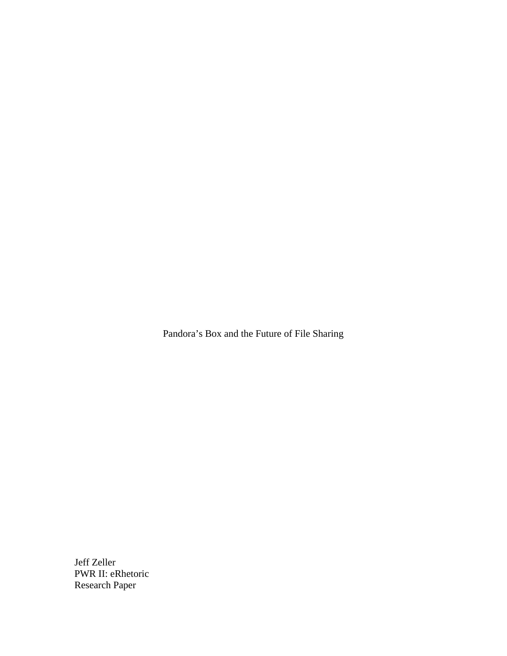Pandora's Box and the Future of File Sharing

Jeff Zeller PWR II: eRhetoric Research Paper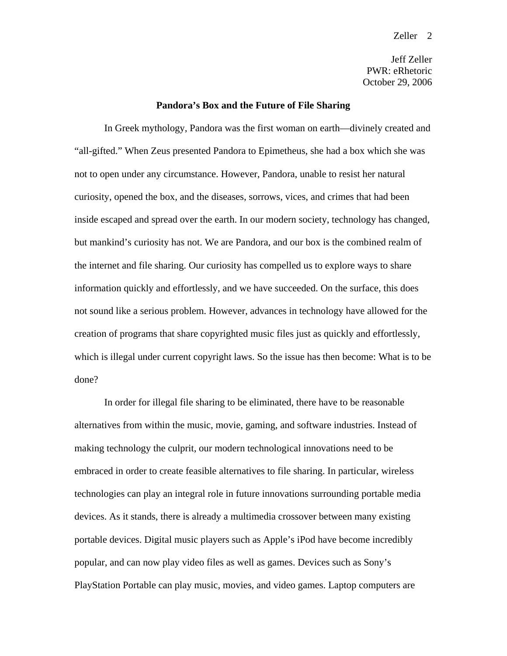Jeff Zeller PWR: eRhetoric October 29, 2006

### **Pandora's Box and the Future of File Sharing**

 In Greek mythology, Pandora was the first woman on earth—divinely created and "all-gifted." When Zeus presented Pandora to Epimetheus, she had a box which she was not to open under any circumstance. However, Pandora, unable to resist her natural curiosity, opened the box, and the diseases, sorrows, vices, and crimes that had been inside escaped and spread over the earth. In our modern society, technology has changed, but mankind's curiosity has not. We are Pandora, and our box is the combined realm of the internet and file sharing. Our curiosity has compelled us to explore ways to share information quickly and effortlessly, and we have succeeded. On the surface, this does not sound like a serious problem. However, advances in technology have allowed for the creation of programs that share copyrighted music files just as quickly and effortlessly, which is illegal under current copyright laws. So the issue has then become: What is to be done?

 In order for illegal file sharing to be eliminated, there have to be reasonable alternatives from within the music, movie, gaming, and software industries. Instead of making technology the culprit, our modern technological innovations need to be embraced in order to create feasible alternatives to file sharing. In particular, wireless technologies can play an integral role in future innovations surrounding portable media devices. As it stands, there is already a multimedia crossover between many existing portable devices. Digital music players such as Apple's iPod have become incredibly popular, and can now play video files as well as games. Devices such as Sony's PlayStation Portable can play music, movies, and video games. Laptop computers are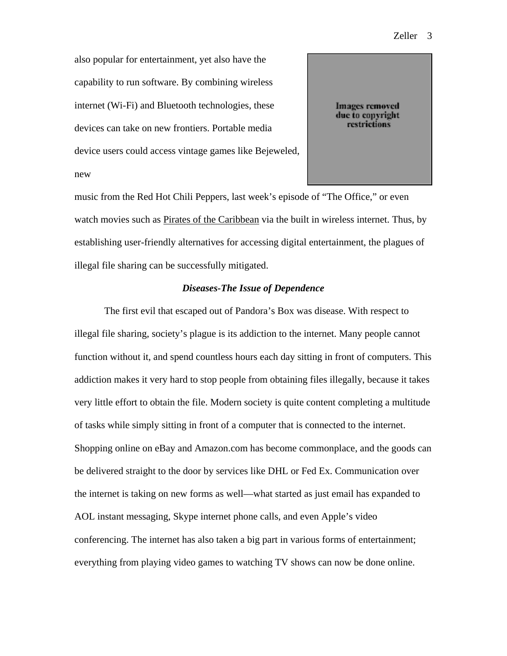Zeller 3

also popular for entertainment, yet also have the capability to run software. By combining wireless internet (Wi-Fi) and Bluetooth technologies, these devices can take on new frontiers. Portable media device users could access vintage games like Bejeweled, new

**Images removed** due to copyright restrictions

music from the Red Hot Chili Peppers, last week's episode of "The Office," or even watch movies such as Pirates of the Caribbean via the built in wireless internet. Thus, by establishing user-friendly alternatives for accessing digital entertainment, the plagues of illegal file sharing can be successfully mitigated.

### *Diseases-The Issue of Dependence*

 The first evil that escaped out of Pandora's Box was disease. With respect to illegal file sharing, society's plague is its addiction to the internet. Many people cannot function without it, and spend countless hours each day sitting in front of computers. This addiction makes it very hard to stop people from obtaining files illegally, because it takes very little effort to obtain the file. Modern society is quite content completing a multitude of tasks while simply sitting in front of a computer that is connected to the internet. Shopping online on eBay and Amazon.com has become commonplace, and the goods can be delivered straight to the door by services like DHL or Fed Ex. Communication over the internet is taking on new forms as well—what started as just email has expanded to AOL instant messaging, Skype internet phone calls, and even Apple's video conferencing. The internet has also taken a big part in various forms of entertainment; everything from playing video games to watching TV shows can now be done online.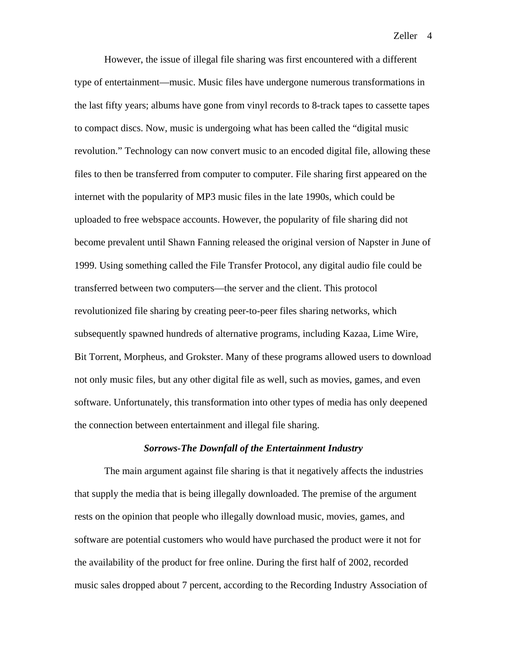Zeller<sub>4</sub>

 However, the issue of illegal file sharing was first encountered with a different type of entertainment—music. Music files have undergone numerous transformations in the last fifty years; albums have gone from vinyl records to 8-track tapes to cassette tapes to compact discs. Now, music is undergoing what has been called the "digital music revolution." Technology can now convert music to an encoded digital file, allowing these files to then be transferred from computer to computer. File sharing first appeared on the internet with the popularity of MP3 music files in the late 1990s, which could be uploaded to free webspace accounts. However, the popularity of file sharing did not become prevalent until Shawn Fanning released the original version of Napster in June of 1999. Using something called the File Transfer Protocol, any digital audio file could be transferred between two computers—the server and the client. This protocol revolutionized file sharing by creating peer-to-peer files sharing networks, which subsequently spawned hundreds of alternative programs, including Kazaa, Lime Wire, Bit Torrent, Morpheus, and Grokster. Many of these programs allowed users to download not only music files, but any other digital file as well, such as movies, games, and even software. Unfortunately, this transformation into other types of media has only deepened the connection between entertainment and illegal file sharing.

### *Sorrows-The Downfall of the Entertainment Industry*

 The main argument against file sharing is that it negatively affects the industries that supply the media that is being illegally downloaded. The premise of the argument rests on the opinion that people who illegally download music, movies, games, and software are potential customers who would have purchased the product were it not for the availability of the product for free online. During the first half of 2002, recorded music sales dropped about 7 percent, according to the Recording Industry Association of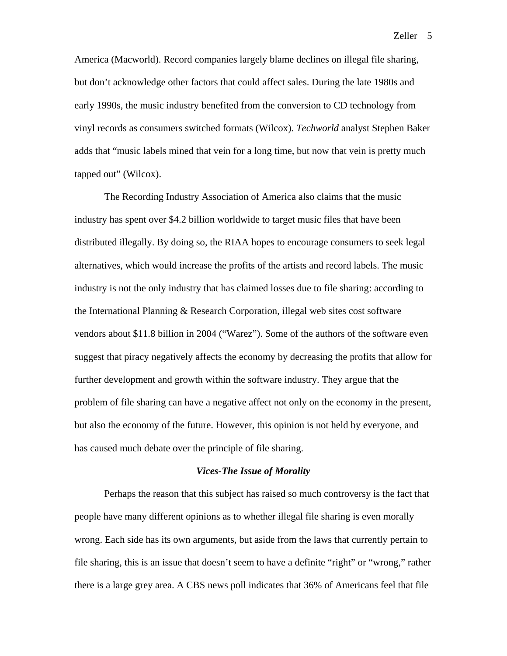America (Macworld). Record companies largely blame declines on illegal file sharing, but don't acknowledge other factors that could affect sales. During the late 1980s and early 1990s, the music industry benefited from the conversion to CD technology from vinyl records as consumers switched formats (Wilcox). *Techworld* analyst Stephen Baker adds that "music labels mined that vein for a long time, but now that vein is pretty much tapped out" (Wilcox).

 The Recording Industry Association of America also claims that the music industry has spent over \$4.2 billion worldwide to target music files that have been distributed illegally. By doing so, the RIAA hopes to encourage consumers to seek legal alternatives, which would increase the profits of the artists and record labels. The music industry is not the only industry that has claimed losses due to file sharing: according to the International Planning & Research Corporation, illegal web sites cost software vendors about \$11.8 billion in 2004 ("Warez"). Some of the authors of the software even suggest that piracy negatively affects the economy by decreasing the profits that allow for further development and growth within the software industry. They argue that the problem of file sharing can have a negative affect not only on the economy in the present, but also the economy of the future. However, this opinion is not held by everyone, and has caused much debate over the principle of file sharing.

#### *Vices-The Issue of Morality*

Perhaps the reason that this subject has raised so much controversy is the fact that people have many different opinions as to whether illegal file sharing is even morally wrong. Each side has its own arguments, but aside from the laws that currently pertain to file sharing, this is an issue that doesn't seem to have a definite "right" or "wrong," rather there is a large grey area. A CBS news poll indicates that 36% of Americans feel that file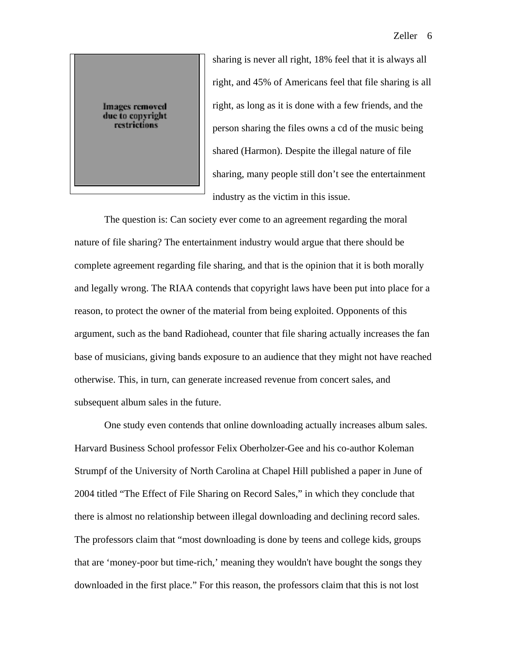

sharing is never all right, 18% feel that it is always all right, and 45% of Americans feel that file sharing is all right, as long as it is done with a few friends, and the person sharing the files owns a cd of the music being shared (Harmon). Despite the illegal nature of file sharing, many people still don't see the entertainment industry as the victim in this issue.

 The question is: Can society ever come to an agreement regarding the moral nature of file sharing? The entertainment industry would argue that there should be complete agreement regarding file sharing, and that is the opinion that it is both morally and legally wrong. The RIAA contends that copyright laws have been put into place for a reason, to protect the owner of the material from being exploited. Opponents of this argument, such as the band Radiohead, counter that file sharing actually increases the fan base of musicians, giving bands exposure to an audience that they might not have reached otherwise. This, in turn, can generate increased revenue from concert sales, and subsequent album sales in the future.

 $\begin{array}{c} \hline \end{array}$ 

 One study even contends that online downloading actually increases album sales. Harvard Business School professor Felix Oberholzer-Gee and his co-author Koleman Strumpf of the University of North Carolina at Chapel Hill published a paper in June of 2004 titled "The Effect of File Sharing on Record Sales," in which they conclude that there is almost no relationship between illegal downloading and declining record sales. The professors claim that "most downloading is done by teens and college kids, groups that are 'money-poor but time-rich,' meaning they wouldn't have bought the songs they downloaded in the first place." For this reason, the professors claim that this is not lost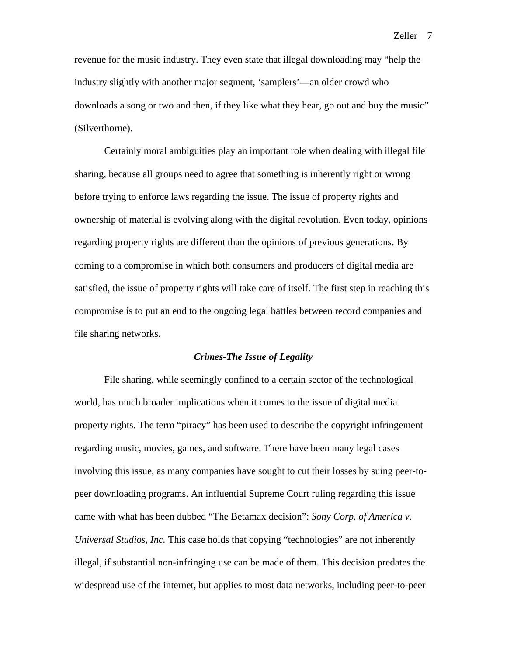revenue for the music industry. They even state that illegal downloading may "help the industry slightly with another major segment, 'samplers'—an older crowd who downloads a song or two and then, if they like what they hear, go out and buy the music" (Silverthorne).

 Certainly moral ambiguities play an important role when dealing with illegal file sharing, because all groups need to agree that something is inherently right or wrong before trying to enforce laws regarding the issue. The issue of property rights and ownership of material is evolving along with the digital revolution. Even today, opinions regarding property rights are different than the opinions of previous generations. By coming to a compromise in which both consumers and producers of digital media are satisfied, the issue of property rights will take care of itself. The first step in reaching this compromise is to put an end to the ongoing legal battles between record companies and file sharing networks.

#### *Crimes-The Issue of Legality*

 File sharing, while seemingly confined to a certain sector of the technological world, has much broader implications when it comes to the issue of digital media property rights. The term "piracy" has been used to describe the copyright infringement regarding music, movies, games, and software. There have been many legal cases involving this issue, as many companies have sought to cut their losses by suing peer-topeer downloading programs. An influential Supreme Court ruling regarding this issue came with what has been dubbed "The Betamax decision": *Sony Corp. of America v. Universal Studios, Inc.* This case holds that copying "technologies" are not inherently illegal, if substantial non-infringing use can be made of them. This decision predates the widespread use of the internet, but applies to most data networks, including peer-to-peer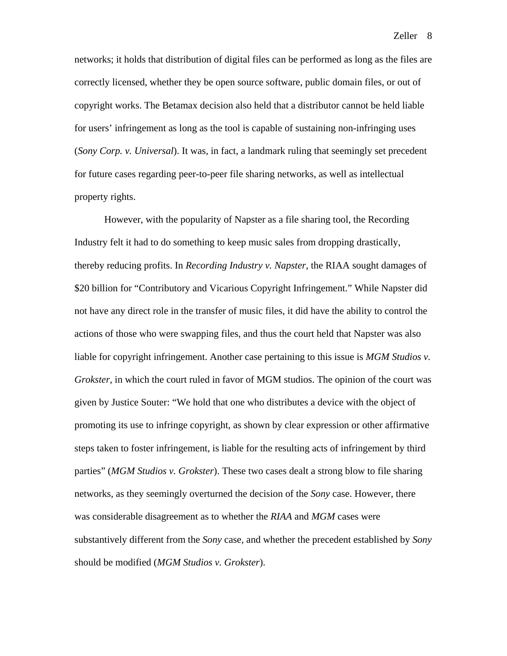Zeller 8

networks; it holds that distribution of digital files can be performed as long as the files are correctly licensed, whether they be open source software, public domain files, or out of copyright works. The Betamax decision also held that a distributor cannot be held liable for users' infringement as long as the tool is capable of sustaining non-infringing uses (*Sony Corp. v. Universal*). It was, in fact, a landmark ruling that seemingly set precedent for future cases regarding peer-to-peer file sharing networks, as well as intellectual property rights.

 However, with the popularity of Napster as a file sharing tool, the Recording Industry felt it had to do something to keep music sales from dropping drastically, thereby reducing profits. In *Recording Industry v. Napster*, the RIAA sought damages of \$20 billion for "Contributory and Vicarious Copyright Infringement." While Napster did not have any direct role in the transfer of music files, it did have the ability to control the actions of those who were swapping files, and thus the court held that Napster was also liable for copyright infringement. Another case pertaining to this issue is *MGM Studios v. Grokster*, in which the court ruled in favor of MGM studios. The opinion of the court was given by Justice Souter: "We hold that one who distributes a device with the object of promoting its use to infringe copyright, as shown by clear expression or other affirmative steps taken to foster infringement, is liable for the resulting acts of infringement by third parties" (*MGM Studios v. Grokster*). These two cases dealt a strong blow to file sharing networks, as they seemingly overturned the decision of the *Sony* case. However, there was considerable disagreement as to whether the *RIAA* and *MGM* cases were substantively different from the *Sony* case, and whether the precedent established by *Sony* should be modified (*MGM Studios v. Grokster*).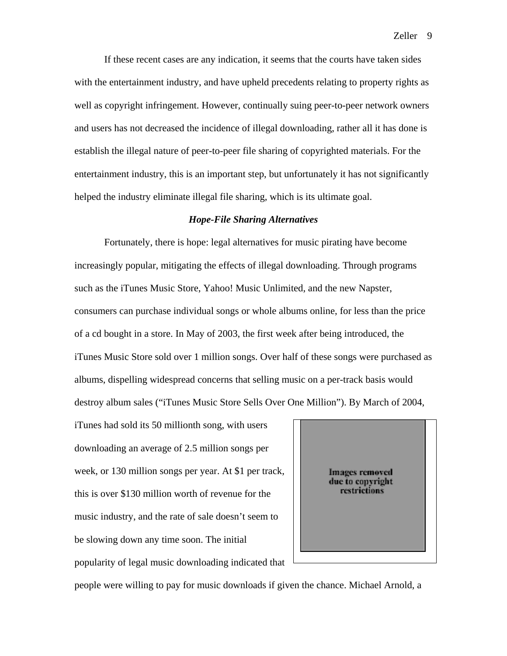If these recent cases are any indication, it seems that the courts have taken sides with the entertainment industry, and have upheld precedents relating to property rights as well as copyright infringement. However, continually suing peer-to-peer network owners and users has not decreased the incidence of illegal downloading, rather all it has done is establish the illegal nature of peer-to-peer file sharing of copyrighted materials. For the entertainment industry, this is an important step, but unfortunately it has not significantly helped the industry eliminate illegal file sharing, which is its ultimate goal.

# *Hope-File Sharing Alternatives*

 Fortunately, there is hope: legal alternatives for music pirating have become increasingly popular, mitigating the effects of illegal downloading. Through programs such as the iTunes Music Store, Yahoo! Music Unlimited, and the new Napster, consumers can purchase individual songs or whole albums online, for less than the price of a cd bought in a store. In May of 2003, the first week after being introduced, the iTunes Music Store sold over 1 million songs. Over half of these songs were purchased as albums, dispelling widespread concerns that selling music on a per-track basis would destroy album sales ("iTunes Music Store Sells Over One Million"). By March of 2004,

iTunes had sold its 50 millionth song, with users downloading an average of 2.5 million songs per week, or 130 million songs per year. At \$1 per track, this is over \$130 million worth of revenue for the music industry, and the rate of sale doesn't seem to be slowing down any time soon. The initial popularity of legal music downloading indicated that



people were willing to pay for music downloads if given the chance. Michael Arnold, a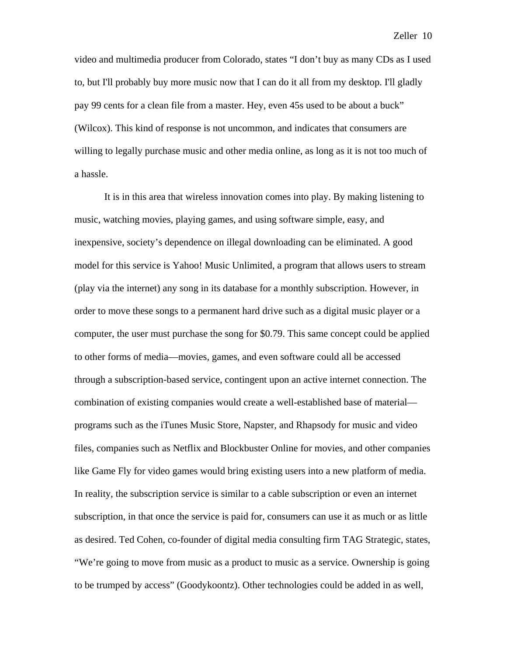video and multimedia producer from Colorado, states "I don't buy as many CDs as I used to, but I'll probably buy more music now that I can do it all from my desktop. I'll gladly pay 99 cents for a clean file from a master. Hey, even 45s used to be about a buck" (Wilcox). This kind of response is not uncommon, and indicates that consumers are willing to legally purchase music and other media online, as long as it is not too much of a hassle.

 It is in this area that wireless innovation comes into play. By making listening to music, watching movies, playing games, and using software simple, easy, and inexpensive, society's dependence on illegal downloading can be eliminated. A good model for this service is Yahoo! Music Unlimited, a program that allows users to stream (play via the internet) any song in its database for a monthly subscription. However, in order to move these songs to a permanent hard drive such as a digital music player or a computer, the user must purchase the song for \$0.79. This same concept could be applied to other forms of media—movies, games, and even software could all be accessed through a subscription-based service, contingent upon an active internet connection. The combination of existing companies would create a well-established base of material programs such as the iTunes Music Store, Napster, and Rhapsody for music and video files, companies such as Netflix and Blockbuster Online for movies, and other companies like Game Fly for video games would bring existing users into a new platform of media. In reality, the subscription service is similar to a cable subscription or even an internet subscription, in that once the service is paid for, consumers can use it as much or as little as desired. Ted Cohen, co-founder of digital media consulting firm TAG Strategic, states, "We're going to move from music as a product to music as a service. Ownership is going to be trumped by access" (Goodykoontz). Other technologies could be added in as well,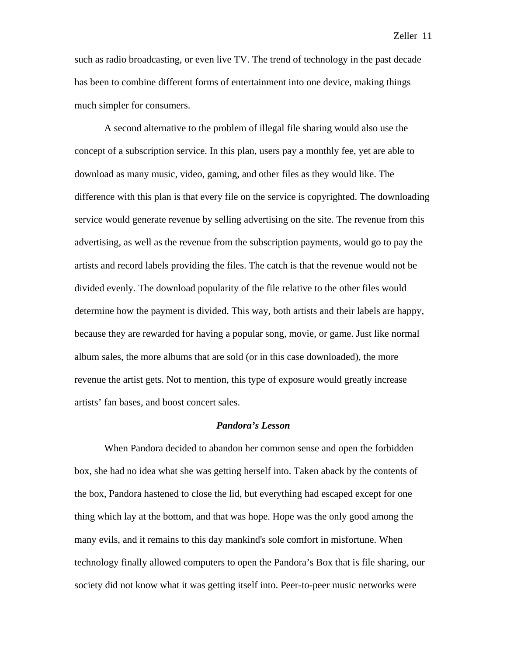Zeller 11

such as radio broadcasting, or even live TV. The trend of technology in the past decade has been to combine different forms of entertainment into one device, making things much simpler for consumers.

 A second alternative to the problem of illegal file sharing would also use the concept of a subscription service. In this plan, users pay a monthly fee, yet are able to download as many music, video, gaming, and other files as they would like. The difference with this plan is that every file on the service is copyrighted. The downloading service would generate revenue by selling advertising on the site. The revenue from this advertising, as well as the revenue from the subscription payments, would go to pay the artists and record labels providing the files. The catch is that the revenue would not be divided evenly. The download popularity of the file relative to the other files would determine how the payment is divided. This way, both artists and their labels are happy, because they are rewarded for having a popular song, movie, or game. Just like normal album sales, the more albums that are sold (or in this case downloaded), the more revenue the artist gets. Not to mention, this type of exposure would greatly increase artists' fan bases, and boost concert sales.

# *Pandora's Lesson*

 When Pandora decided to abandon her common sense and open the forbidden box, she had no idea what she was getting herself into. Taken aback by the contents of the box, Pandora hastened to close the lid, but everything had escaped except for one thing which lay at the bottom, and that was hope. Hope was the only good among the many evils, and it remains to this day mankind's sole comfort in misfortune. When technology finally allowed computers to open the Pandora's Box that is file sharing, our society did not know what it was getting itself into. Peer-to-peer music networks were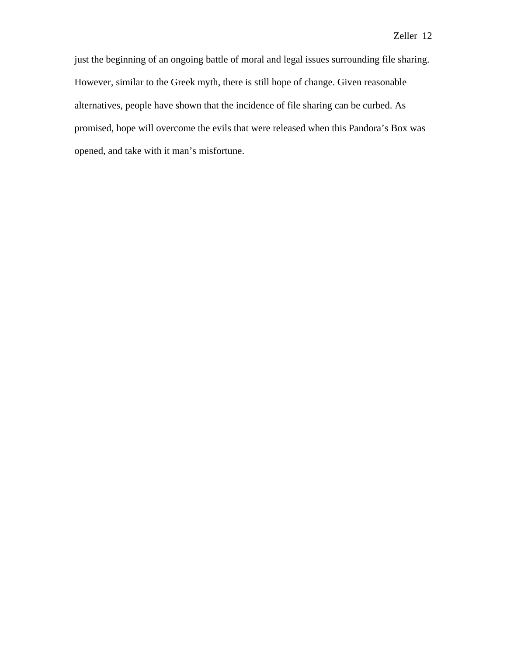just the beginning of an ongoing battle of moral and legal issues surrounding file sharing. However, similar to the Greek myth, there is still hope of change. Given reasonable alternatives, people have shown that the incidence of file sharing can be curbed. As promised, hope will overcome the evils that were released when this Pandora's Box was opened, and take with it man's misfortune.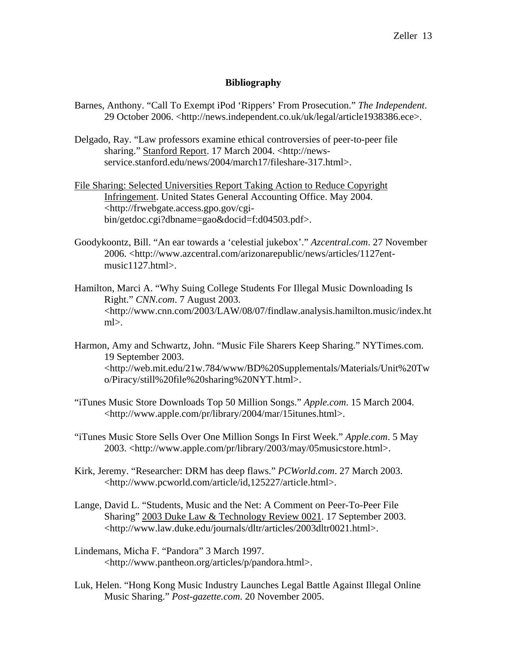## **Bibliography**

- Barnes, Anthony. "Call To Exempt iPod 'Rippers' From Prosecution." *The Independent*. 29 October 2006. <http://news.independent.co.uk/uk/legal/article1938386.ece>.
- Delgado, Ray. "Law professors examine ethical controversies of peer-to-peer file sharing." Stanford Report. 17 March 2004. <http://news service.stanford.edu/news/2004/march17/fileshare-317.html>.
- File Sharing: Selected Universities Report Taking Action to Reduce Copyright Infringement. United States General Accounting Office. May 2004. <http://frwebgate.access.gpo.gov/cgi bin/getdoc.cgi?dbname=gao&docid=f:d04503.pdf>.
- Goodykoontz, Bill. "An ear towards a 'celestial jukebox'." *Azcentral.com*. 27 November 2006. <http://www.azcentral.com/arizonarepublic/news/articles/1127ent music1127.html>.
- Hamilton, Marci A. "Why Suing College Students For Illegal Music Downloading Is Right." *CNN.com*. 7 August 2003. <http://www.cnn.com/2003/LAW/08/07/findlaw.analysis.hamilton.music/index.ht  $ml$  $>$ .
- Harmon, Amy and Schwartz, John. "Music File Sharers Keep Sharing." NYTimes.com. 19 September 2003. <http://web.mit.edu/21w.784/www/BD%20Supplementals/Materials/Unit%20Tw o/Piracy/still%20file%20sharing%20NYT.html>.
- "iTunes Music Store Downloads Top 50 Million Songs." *Apple.com*. 15 March 2004. <http://www.apple.com/pr/library/2004/mar/15itunes.html>.
- "iTunes Music Store Sells Over One Million Songs In First Week." *Apple.com*. 5 May 2003. <http://www.apple.com/pr/library/2003/may/05musicstore.html>.
- Kirk, Jeremy. "Researcher: DRM has deep flaws." *PCWorld.com*. 27 March 2003. <http://www.pcworld.com/article/id,125227/article.html>.
- Lange, David L. "Students, Music and the Net: A Comment on Peer-To-Peer File Sharing" 2003 Duke Law & Technology Review 0021. 17 September 2003. <http://www.law.duke.edu/journals/dltr/articles/2003dltr0021.html>.
- Lindemans, Micha F. "Pandora" 3 March 1997. <http://www.pantheon.org/articles/p/pandora.html>.
- Luk, Helen. "Hong Kong Music Industry Launches Legal Battle Against Illegal Online Music Sharing." *Post-gazette.com*. 20 November 2005.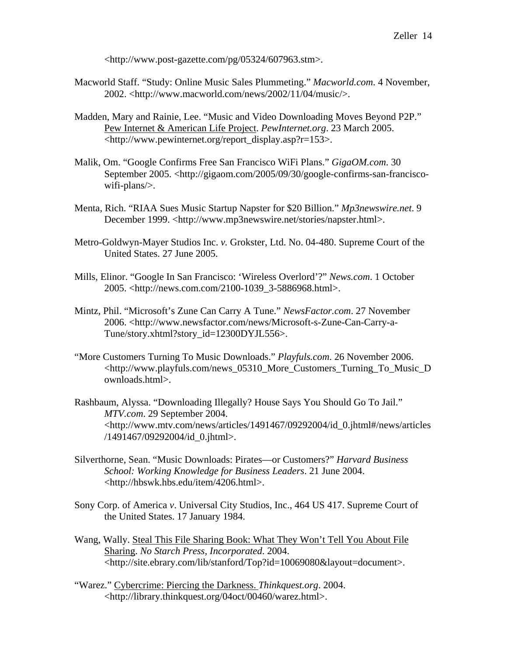<http://www.post-gazette.com/pg/05324/607963.stm>.

- Macworld Staff. "Study: Online Music Sales Plummeting." *Macworld.com*. 4 November, 2002. <http://www.macworld.com/news/2002/11/04/music/>.
- Madden, Mary and Rainie, Lee. "Music and Video Downloading Moves Beyond P2P." Pew Internet & American Life Project. *PewInternet.org*. 23 March 2005. <http://www.pewinternet.org/report\_display.asp?r=153>.
- Malik, Om. "Google Confirms Free San Francisco WiFi Plans." *GigaOM.com*. 30 September 2005. <http://gigaom.com/2005/09/30/google-confirms-san-francisco wifi-plans/>.
- Menta, Rich. "RIAA Sues Music Startup Napster for \$20 Billion." *Mp3newswire.net*. 9 December 1999. <http://www.mp3newswire.net/stories/napster.html>.
- Metro-Goldwyn-Mayer Studios Inc. *v.* Grokster, Ltd. No. 04-480. Supreme Court of the United States. 27 June 2005.
- Mills, Elinor. "Google In San Francisco: 'Wireless Overlord'?" *News.com*. 1 October 2005. <http://news.com.com/2100-1039\_3-5886968.html>.
- Mintz, Phil. "Microsoft's Zune Can Carry A Tune." *NewsFactor.com*. 27 November 2006. <http://www.newsfactor.com/news/Microsoft-s-Zune-Can-Carry-a- Tune/story.xhtml?story\_id=12300DYJL556>.
- "More Customers Turning To Music Downloads." *Playfuls.com*. 26 November 2006. <http://www.playfuls.com/news\_05310\_More\_Customers\_Turning\_To\_Music\_D ownloads.html>.
- Rashbaum, Alyssa. "Downloading Illegally? House Says You Should Go To Jail." *MTV.com*. 29 September 2004. <http://www.mtv.com/news/articles/1491467/09292004/id\_0.jhtml#/news/articles /1491467/09292004/id\_0.jhtml>.
- Silverthorne, Sean. "Music Downloads: Pirates—or Customers?" *Harvard Business School: Working Knowledge for Business Leaders*. 21 June 2004. <http://hbswk.hbs.edu/item/4206.html>.
- Sony Corp. of America *v*. Universal City Studios, Inc., 464 US 417. Supreme Court of the United States. 17 January 1984.
- Wang, Wally. Steal This File Sharing Book: What They Won't Tell You About File Sharing. *No Starch Press, Incorporated*. 2004. <http://site.ebrary.com/lib/stanford/Top?id=10069080&layout=document>.
- "Warez." Cybercrime: Piercing the Darkness. *Thinkquest.org*. 2004. <http://library.thinkquest.org/04oct/00460/warez.html>.